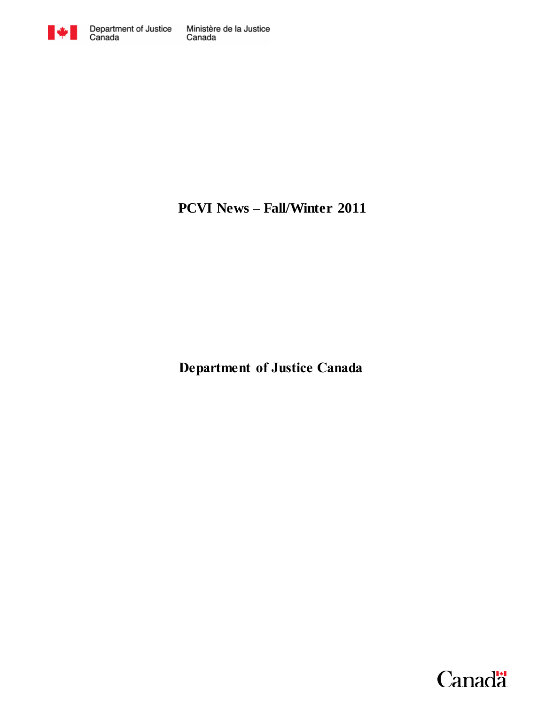

# **PCVI News – Fall/Winter 2011**

**Department of Justice Canada**

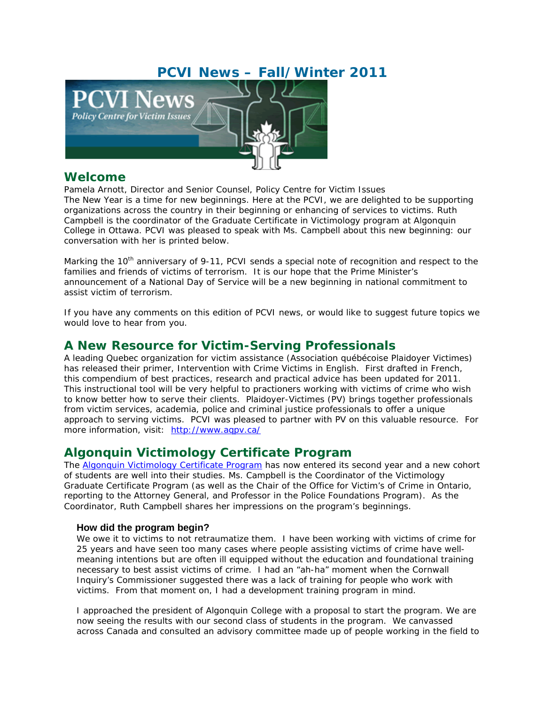# **PCVI News – Fall/Winter 2011**



## **Welcome**

Pamela Arnott, *Director and Senior Counsel, Policy Centre for Victim Issues* The New Year is a time for new beginnings. Here at the PCVI, we are delighted to be supporting organizations across the country in their beginning or enhancing of services to victims. Ruth Campbell is the coordinator of the Graduate Certificate in Victimology program at Algonquin College in Ottawa. PCVI was pleased to speak with Ms. Campbell about this new beginning: our conversation with her is printed below.

Marking the 10<sup>th</sup> anniversary of 9-11, PCVI sends a special note of recognition and respect to the families and friends of victims of terrorism. It is our hope that the Prime Minister's announcement of a National Day of Service will be a new beginning in national commitment to assist victim of terrorism.

If you have any comments on this edition of PCVI news, or would like to suggest future topics we would love to hear from you.

## **A New Resource for Victim-Serving Professionals**

A leading Quebec organization for victim assistance (Association québécoise Plaidoyer Victimes) has released their primer, *Intervention with Crime Victims* in English. First drafted in French, this compendium of best practices, research and practical advice has been updated for 2011. This instructional tool will be very helpful to practioners working with victims of crime who wish to know better how to serve their clients. Plaidoyer-Victimes (PV) brings together professionals from victim services, academia, police and criminal justice professionals to offer a unique approach to serving victims. PCVI was pleased to partner with PV on this valuable resource. For more information, visit: http://www.aqpv.ca/

## **Algonquin Victimology Certificate Program**

*The [Algonquin Victimology Certificate Program](http://www2.algonquincollege.com/ppsi/program/victimology./#ourprogram) has now entered its second year and a new cohort of students are well into their studies. Ms. Campbell is the Coordinator of the Victimology Graduate Certificate Program (as well as the Chair of the Office for Victim's of Crime in Ontario, reporting to the Attorney General, and Professor in the Police Foundations Program). As the Coordinator, Ruth Campbell shares her impressions on the program's beginnings.* 

### **How did the program begin?**

We owe it to victims to not retraumatize them. I have been working with victims of crime for 25 years and have seen too many cases where people assisting victims of crime have wellmeaning intentions but are often ill equipped without the education and foundational training necessary to best assist victims of crime. I had an "*ah-ha*" moment when the Cornwall Inquiry's Commissioner suggested there was a lack of training for people who work with victims. From that moment on, I had a development training program in mind.

I approached the president of Algonquin College with a proposal to start the program. We are now seeing the results with our second class of students in the program. We canvassed across Canada and consulted an advisory committee made up of people working in the field to